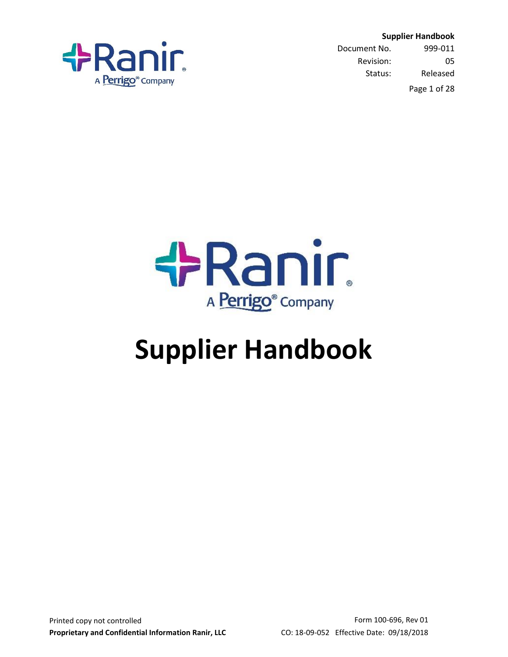



Document No. 999-011 Revision: 05 Status: Released

Page 1 of 28



# **Supplier Handbook**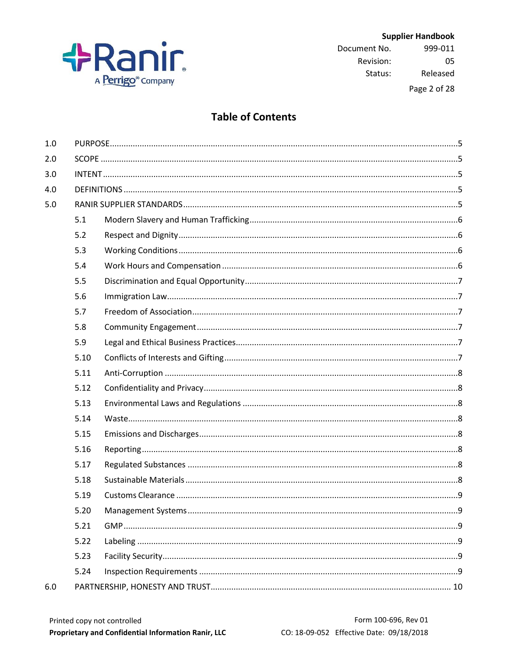

999-011 Document No. Revision: 05 Released Status:

Page 2 of 28

# **Table of Contents**

| 1.0 |      |  |  |  |  |
|-----|------|--|--|--|--|
| 2.0 |      |  |  |  |  |
| 3.0 |      |  |  |  |  |
| 4.0 |      |  |  |  |  |
| 5.0 |      |  |  |  |  |
|     | 5.1  |  |  |  |  |
|     | 5.2  |  |  |  |  |
|     | 5.3  |  |  |  |  |
|     | 5.4  |  |  |  |  |
|     | 5.5  |  |  |  |  |
|     | 5.6  |  |  |  |  |
|     | 5.7  |  |  |  |  |
|     | 5.8  |  |  |  |  |
|     | 5.9  |  |  |  |  |
|     | 5.10 |  |  |  |  |
|     | 5.11 |  |  |  |  |
|     | 5.12 |  |  |  |  |
|     | 5.13 |  |  |  |  |
|     | 5.14 |  |  |  |  |
|     | 5.15 |  |  |  |  |
|     | 5.16 |  |  |  |  |
|     | 5.17 |  |  |  |  |
|     | 5.18 |  |  |  |  |
|     | 5.19 |  |  |  |  |
|     | 5.20 |  |  |  |  |
|     | 5.21 |  |  |  |  |
|     | 5.22 |  |  |  |  |
|     | 5.23 |  |  |  |  |
|     | 5.24 |  |  |  |  |
| 6.0 |      |  |  |  |  |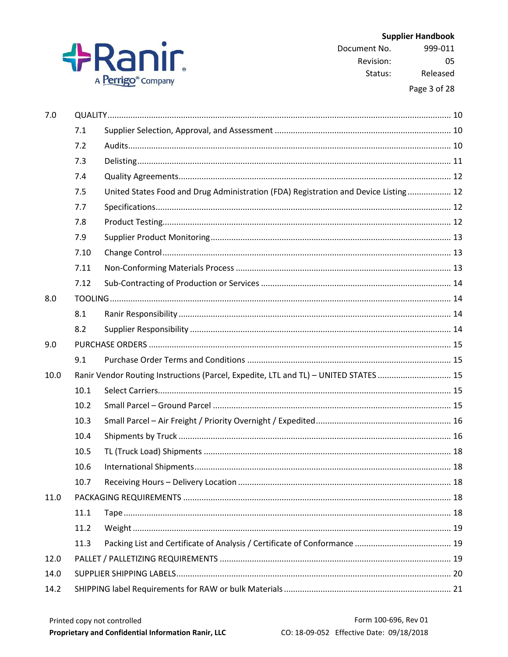

999-011 Document No. Revision: 05 Released Status:

Page 3 of 28

| 7.0  |      |                                                                                      |  |  |
|------|------|--------------------------------------------------------------------------------------|--|--|
|      | 7.1  |                                                                                      |  |  |
|      | 7.2  |                                                                                      |  |  |
|      | 7.3  |                                                                                      |  |  |
|      | 7.4  |                                                                                      |  |  |
|      | 7.5  | United States Food and Drug Administration (FDA) Registration and Device Listing 12  |  |  |
|      | 7.7  |                                                                                      |  |  |
|      | 7.8  |                                                                                      |  |  |
|      | 7.9  |                                                                                      |  |  |
|      | 7.10 |                                                                                      |  |  |
|      | 7.11 |                                                                                      |  |  |
|      | 7.12 |                                                                                      |  |  |
| 8.0  |      |                                                                                      |  |  |
|      | 8.1  |                                                                                      |  |  |
|      | 8.2  |                                                                                      |  |  |
| 9.0  |      |                                                                                      |  |  |
|      | 9.1  |                                                                                      |  |  |
| 10.0 |      | Ranir Vendor Routing Instructions (Parcel, Expedite, LTL and TL) - UNITED STATES  15 |  |  |
|      | 10.1 |                                                                                      |  |  |
|      | 10.2 |                                                                                      |  |  |
|      | 10.3 |                                                                                      |  |  |
|      | 10.4 |                                                                                      |  |  |
|      | 10.5 |                                                                                      |  |  |
|      | 10.6 |                                                                                      |  |  |
|      | 10.7 |                                                                                      |  |  |
| 11.0 |      |                                                                                      |  |  |
|      | 11.1 |                                                                                      |  |  |
|      | 11.2 |                                                                                      |  |  |
|      | 11.3 |                                                                                      |  |  |
| 12.0 |      |                                                                                      |  |  |
| 14.0 |      |                                                                                      |  |  |
| 14.2 |      |                                                                                      |  |  |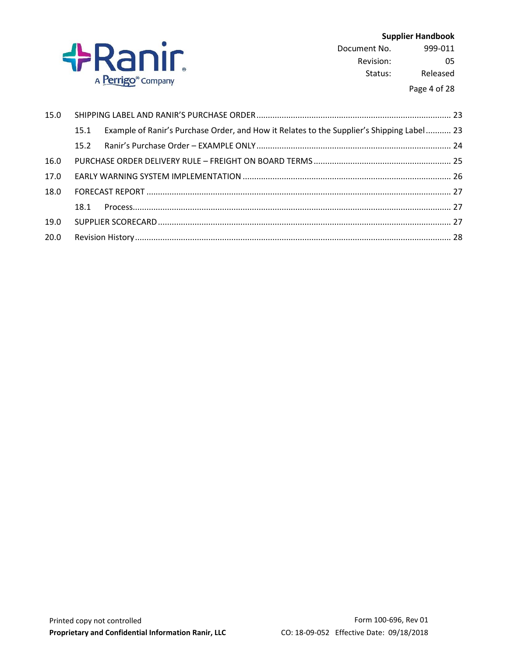

Document No. 999-011 Revision: 05 Status: Released

Page 4 of 28

|      | 15.1 | Example of Ranir's Purchase Order, and How it Relates to the Supplier's Shipping Label 23 |  |  |
|------|------|-------------------------------------------------------------------------------------------|--|--|
|      | 15.2 |                                                                                           |  |  |
| 16.0 |      |                                                                                           |  |  |
| 17.0 |      |                                                                                           |  |  |
| 18.0 |      |                                                                                           |  |  |
|      | 18.1 |                                                                                           |  |  |
| 19.0 |      |                                                                                           |  |  |
| 20.0 |      |                                                                                           |  |  |
|      |      |                                                                                           |  |  |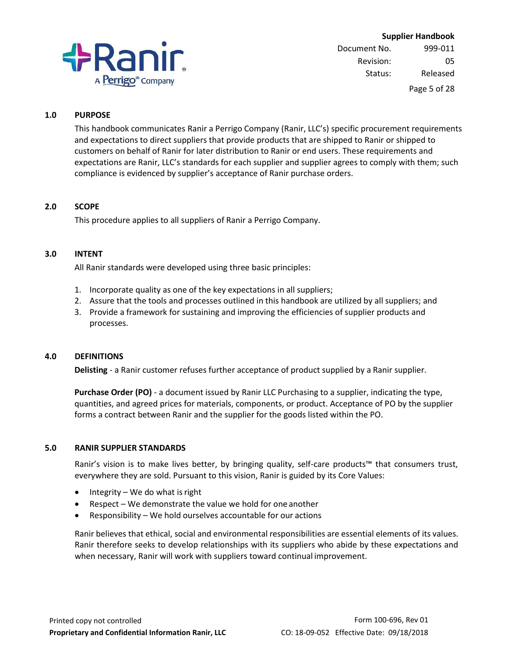

Page 5 of 28

#### <span id="page-4-0"></span>**1.0 PURPOSE**

This handbook communicates Ranir a Perrigo Company (Ranir, LLC's) specific procurement requirements and expectations to direct suppliers that provide products that are shipped to Ranir or shipped to customers on behalf of Ranir for later distribution to Ranir or end users. These requirements and expectations are Ranir, LLC's standards for each supplier and supplier agrees to comply with them; such compliance is evidenced by supplier's acceptance of Ranir purchase orders.

#### <span id="page-4-1"></span>**2.0 SCOPE**

This procedure applies to all suppliers of Ranir a Perrigo Company.

#### <span id="page-4-2"></span>**3.0 INTENT**

All Ranir standards were developed using three basic principles:

- 1. Incorporate quality as one of the key expectations in all suppliers;
- 2. Assure that the tools and processes outlined in this handbook are utilized by all suppliers; and
- 3. Provide a framework for sustaining and improving the efficiencies of supplier products and processes.

#### <span id="page-4-3"></span>**4.0 DEFINITIONS**

**Delisting** - a Ranir customer refuses further acceptance of product supplied by a Ranir supplier.

**Purchase Order (PO)** - a document issued by Ranir LLC Purchasing to a supplier, indicating the type, quantities, and agreed prices for materials, components, or product. Acceptance of PO by the supplier forms a contract between Ranir and the supplier for the goods listed within the PO.

#### <span id="page-4-4"></span>**5.0 RANIR SUPPLIER STANDARDS**

Ranir's vision is to make lives better, by bringing quality, self-care products™ that consumers trust, everywhere they are sold. Pursuant to this vision, Ranir is guided by its Core Values:

- Integrity We do what is right
- Respect We demonstrate the value we hold for one another
- Responsibility We hold ourselves accountable for our actions

Ranir believes that ethical, social and environmental responsibilities are essential elements of its values. Ranir therefore seeks to develop relationships with its suppliers who abide by these expectations and when necessary, Ranir will work with suppliers toward continual improvement.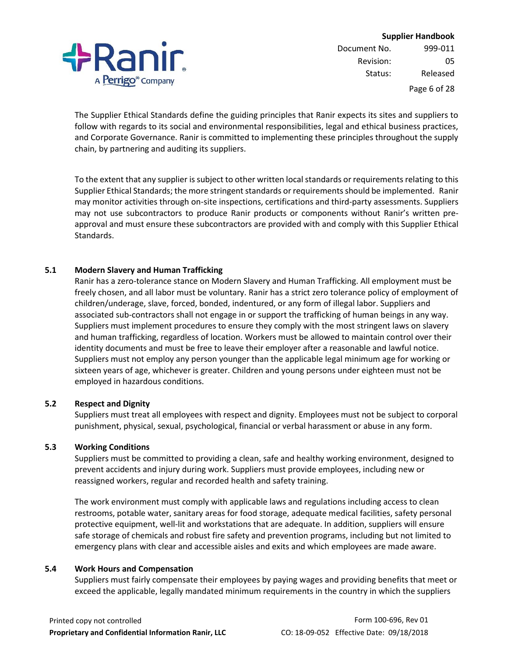

Page 6 of 28

The Supplier Ethical Standards define the guiding principles that Ranir expects its sites and suppliers to follow with regards to its social and environmental responsibilities, legal and ethical business practices, and Corporate Governance. Ranir is committed to implementing these principles throughout the supply chain, by partnering and auditing its suppliers.

To the extent that any supplier is subject to other written local standards or requirements relating to this Supplier Ethical Standards; the more stringent standards or requirements should be implemented. Ranir may monitor activities through on-site inspections, certifications and third-party assessments. Suppliers may not use subcontractors to produce Ranir products or components without Ranir's written preapproval and must ensure these subcontractors are provided with and comply with this Supplier Ethical Standards.

#### <span id="page-5-0"></span>**5.1 Modern Slavery and Human Trafficking**

<span id="page-5-1"></span>Ranir has a zero-tolerance stance on Modern Slavery and Human Trafficking. All employment must be freely chosen, and all labor must be voluntary. Ranir has a strict zero tolerance policy of employment of children/underage, slave, forced, bonded, indentured, or any form of illegal labor. Suppliers and associated sub-contractors shall not engage in or support the trafficking of human beings in any way. Suppliers must implement procedures to ensure they comply with the most stringent laws on slavery and human trafficking, regardless of location. Workers must be allowed to maintain control over their identity documents and must be free to leave their employer after a reasonable and lawful notice. Suppliers must not employ any person younger than the applicable legal minimum age for working or sixteen years of age, whichever is greater. Children and young persons under eighteen must not be employed in hazardous conditions.

#### <span id="page-5-2"></span>**5.2 Respect and Dignity**

Suppliers must treat all employees with respect and dignity. Employees must not be subject to corporal punishment, physical, sexual, psychological, financial or verbal harassment or abuse in any form.

#### <span id="page-5-3"></span>**5.3 Working Conditions**

Suppliers must be committed to providing a clean, safe and healthy working environment, designed to prevent accidents and injury during work. Suppliers must provide employees, including new or reassigned workers, regular and recorded health and safety training.

The work environment must comply with applicable laws and regulations including access to clean restrooms, potable water, sanitary areas for food storage, adequate medical facilities, safety personal protective equipment, well-lit and workstations that are adequate. In addition, suppliers will ensure safe storage of chemicals and robust fire safety and prevention programs, including but not limited to emergency plans with clear and accessible aisles and exits and which employees are made aware.

#### <span id="page-5-4"></span>**5.4 Work Hours and Compensation**

Suppliers must fairly compensate their employees by paying wages and providing benefits that meet or exceed the applicable, legally mandated minimum requirements in the country in which the suppliers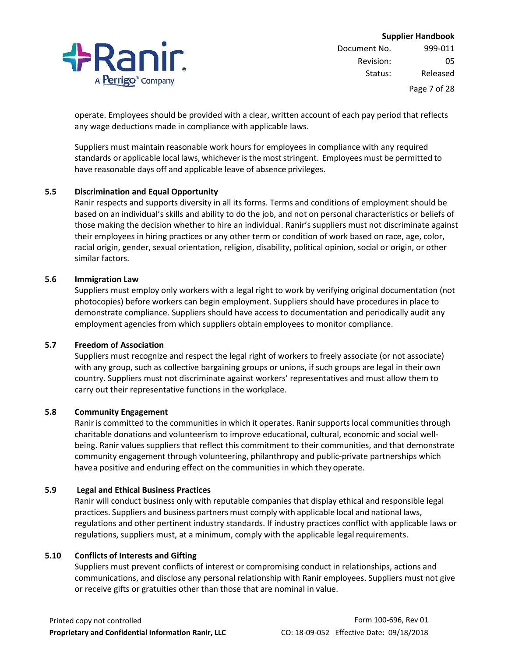

operate. Employees should be provided with a clear, written account of each pay period that reflects any wage deductions made in compliance with applicable laws.

Suppliers must maintain reasonable work hours for employees in compliance with any required standards or applicable local laws, whichever isthe moststringent. Employees must be permitted to have reasonable days off and applicable leave of absence privileges.

#### <span id="page-6-0"></span>**5.5 Discrimination and Equal Opportunity**

Ranir respects and supports diversity in all its forms. Terms and conditions of employment should be based on an individual's skills and ability to do the job, and not on personal characteristics or beliefs of those making the decision whether to hire an individual. Ranir's suppliers must not discriminate against their employees in hiring practices or any other term or condition of work based on race, age, color, racial origin, gender, sexual orientation, religion, disability, political opinion, social or origin, or other similar factors.

#### <span id="page-6-1"></span>**5.6 Immigration Law**

Suppliers must employ only workers with a legal right to work by verifying original documentation (not photocopies) before workers can begin employment. Suppliers should have procedures in place to demonstrate compliance. Suppliers should have access to documentation and periodically audit any employment agencies from which suppliers obtain employees to monitor compliance.

#### <span id="page-6-2"></span>**5.7 Freedom of Association**

Suppliers must recognize and respect the legal right of workers to freely associate (or not associate) with any group, such as collective bargaining groups or unions, if such groups are legal in their own country. Suppliers must not discriminate against workers' representatives and must allow them to carry out their representative functions in the workplace.

#### <span id="page-6-3"></span>**5.8 Community Engagement**

Ranir is committed to the communities in which it operates. Ranir supports local communities through charitable donations and volunteerism to improve educational, cultural, economic and social wellbeing. Ranir values suppliers that reflect this commitment to their communities, and that demonstrate community engagement through volunteering, philanthropy and public-private partnerships which havea positive and enduring effect on the communities in which they operate.

#### <span id="page-6-4"></span>**5.9 Legal and Ethical Business Practices**

<span id="page-6-5"></span>Ranir will conduct business only with reputable companies that display ethical and responsible legal practices. Suppliers and business partners must comply with applicable local and national laws, regulations and other pertinent industry standards. If industry practices conflict with applicable laws or regulations, suppliers must, at a minimum, comply with the applicable legal requirements.

#### <span id="page-6-6"></span>**5.10 Conflicts of Interests and Gifting**

Suppliers must prevent conflicts of interest or compromising conduct in relationships, actions and communications, and disclose any personal relationship with Ranir employees. Suppliers must not give or receive gifts or gratuities other than those that are nominal in value.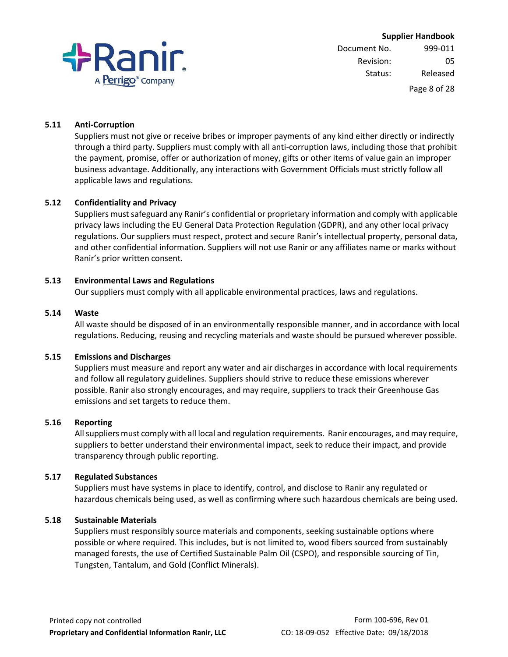

#### <span id="page-7-0"></span>**5.11 Anti-Corruption**

Suppliers must not give or receive bribes or improper payments of any kind either directly or indirectly through a third party. Suppliers must comply with all anti-corruption laws, including those that prohibit the payment, promise, offer or authorization of money, gifts or other items of value gain an improper business advantage. Additionally, any interactions with Government Officials must strictly follow all applicable laws and regulations.

#### <span id="page-7-1"></span>**5.12 Confidentiality and Privacy**

Suppliers must safeguard any Ranir's confidential or proprietary information and comply with applicable privacy laws including the EU General Data Protection Regulation (GDPR), and any other local privacy regulations. Our suppliers must respect, protect and secure Ranir's intellectual property, personal data, and other confidential information. Suppliers will not use Ranir or any affiliates name or marks without Ranir's prior written consent.

#### <span id="page-7-2"></span>**5.13 Environmental Laws and Regulations**

Our suppliers must comply with all applicable environmental practices, laws and regulations.

#### <span id="page-7-3"></span>**5.14 Waste**

All waste should be disposed of in an environmentally responsible manner, and in accordance with local regulations. Reducing, reusing and recycling materials and waste should be pursued wherever possible.

#### <span id="page-7-4"></span>**5.15 Emissions and Discharges**

Suppliers must measure and report any water and air discharges in accordance with local requirements and follow all regulatory guidelines. Suppliers should strive to reduce these emissions wherever possible. Ranir also strongly encourages, and may require, suppliers to track their Greenhouse Gas emissions and set targets to reduce them.

#### <span id="page-7-5"></span>**5.16 Reporting**

Allsuppliers must comply with all local and regulation requirements. Ranir encourages, andmay require, suppliers to better understand their environmental impact, seek to reduce their impact, and provide transparency through public reporting.

#### <span id="page-7-6"></span>**5.17 Regulated Substances**

Suppliers must have systems in place to identify, control, and disclose to Ranir any regulated or hazardous chemicals being used, as well as confirming where such hazardous chemicals are being used.

#### <span id="page-7-7"></span>**5.18 Sustainable Materials**

Suppliers must responsibly source materials and components, seeking sustainable options where possible or where required. This includes, but is not limited to, wood fibers sourced from sustainably managed forests, the use of Certified Sustainable Palm Oil (CSPO), and responsible sourcing of Tin, Tungsten, Tantalum, and Gold (Conflict Minerals).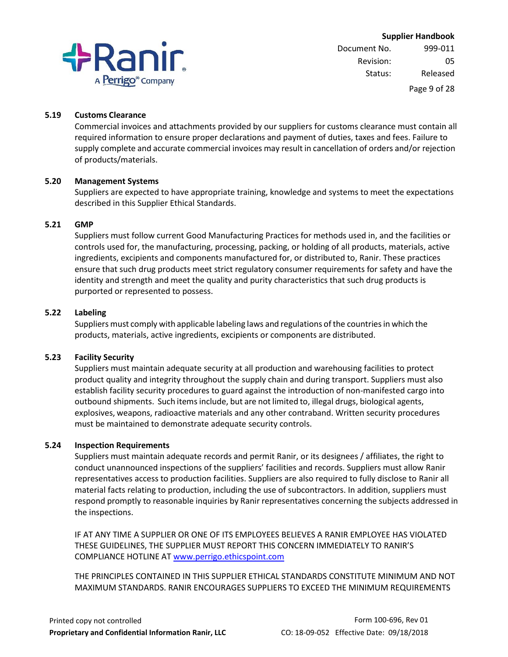

Page 9 of 28

#### <span id="page-8-0"></span>**5.19 Customs Clearance**

Commercial invoices and attachments provided by our suppliers for customs clearance must contain all required information to ensure proper declarations and payment of duties, taxes and fees. Failure to supply complete and accurate commercial invoices may result in cancellation of orders and/or rejection of products/materials.

#### <span id="page-8-1"></span>**5.20 Management Systems**

Suppliers are expected to have appropriate training, knowledge and systems to meet the expectations described in this Supplier Ethical Standards.

#### <span id="page-8-2"></span>**5.21 GMP**

Suppliers must follow current Good Manufacturing Practices for methods used in, and the facilities or controls used for, the manufacturing, processing, packing, or holding of all products, materials, active ingredients, excipients and components manufactured for, or distributed to, Ranir. These practices ensure that such drug products meet strict regulatory consumer requirements for safety and have the identity and strength and meet the quality and purity characteristics that such drug products is purported or represented to possess.

#### <span id="page-8-3"></span>**5.22 Labeling**

Suppliers must comply with applicable labeling laws and regulations ofthe countriesin which the products, materials, active ingredients, excipients or components are distributed.

#### <span id="page-8-4"></span>**5.23 Facility Security**

Suppliers must maintain adequate security at all production and warehousing facilities to protect product quality and integrity throughout the supply chain and during transport. Suppliers must also establish facility security procedures to guard against the introduction of non-manifested cargo into outbound shipments. Such itemsinclude, but are not limited to, illegal drugs, biological agents, explosives, weapons, radioactive materials and any other contraband. Written security procedures must be maintained to demonstrate adequate security controls.

#### <span id="page-8-5"></span>**5.24 Inspection Requirements**

Suppliers must maintain adequate records and permit Ranir, or its designees / affiliates, the right to conduct unannounced inspections of the suppliers' facilities and records. Suppliers must allow Ranir representatives access to production facilities. Suppliers are also required to fully disclose to Ranir all material facts relating to production, including the use of subcontractors. In addition, suppliers must respond promptly to reasonable inquiries by Ranir representatives concerning the subjects addressed in the inspections.

IF AT ANY TIME A SUPPLIER OR ONE OF ITS EMPLOYEES BELIEVES A RANIR EMPLOYEE HAS VIOLATED THESE GUIDELINES, THE SUPPLIER MUST REPORT THIS CONCERN IMMEDIATELY TO RANIR'S COMPLIANCE HOTLINE AT [www.perrigo.ethicspoint.com](http://www.perrigo.ethicspoint.com/)

THE PRINCIPLES CONTAINED IN THIS SUPPLIER ETHICAL STANDARDS CONSTITUTE MINIMUM AND NOT MAXIMUM STANDARDS. RANIR ENCOURAGES SUPPLIERS TO EXCEED THE MINIMUM REQUIREMENTS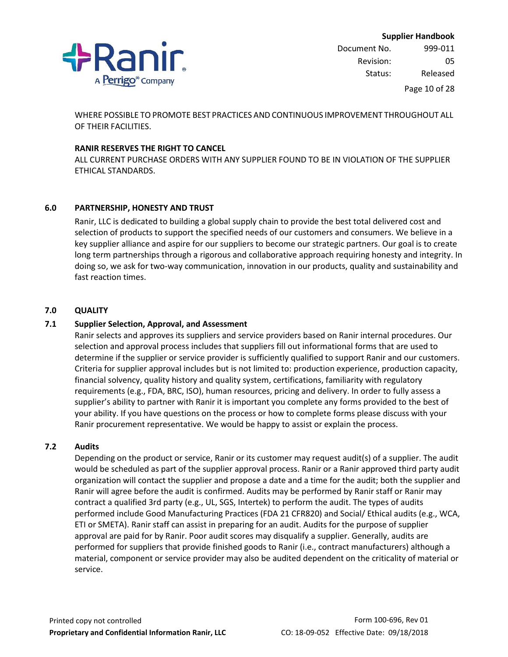

Page 10 of 28

WHERE POSSIBLE TOPROMOTE BEST PRACTICES AND CONTINUOUS IMPROVEMENT THROUGHOUT ALL OF THEIR FACILITIES.

#### **RANIR RESERVES THE RIGHT TO CANCEL**

ALL CURRENT PURCHASE ORDERS WITH ANY SUPPLIER FOUND TO BE IN VIOLATION OF THE SUPPLIER ETHICAL STANDARDS.

#### <span id="page-9-0"></span>**6.0 PARTNERSHIP, HONESTY AND TRUST**

Ranir, LLC is dedicated to building a global supply chain to provide the best total delivered cost and selection of products to support the specified needs of our customers and consumers. We believe in a key supplier alliance and aspire for our suppliers to become our strategic partners. Our goal is to create long term partnerships through a rigorous and collaborative approach requiring honesty and integrity. In doing so, we ask for two-way communication, innovation in our products, quality and sustainability and fast reaction times.

#### <span id="page-9-1"></span>**7.0 QUALITY**

#### <span id="page-9-2"></span>**7.1 Supplier Selection, Approval, and Assessment**

Ranir selects and approves its suppliers and service providers based on Ranir internal procedures. Our selection and approval process includes that suppliers fill out informational forms that are used to determine if the supplier or service provider is sufficiently qualified to support Ranir and our customers. Criteria for supplier approval includes but is not limited to: production experience, production capacity, financial solvency, quality history and quality system, certifications, familiarity with regulatory requirements (e.g., FDA, BRC, ISO), human resources, pricing and delivery. In order to fully assess a supplier's ability to partner with Ranir it is important you complete any forms provided to the best of your ability. If you have questions on the process or how to complete forms please discuss with your Ranir procurement representative. We would be happy to assist or explain the process.

#### <span id="page-9-3"></span>**7.2 Audits**

Depending on the product or service, Ranir or its customer may request audit(s) of a supplier. The audit would be scheduled as part of the supplier approval process. Ranir or a Ranir approved third party audit organization will contact the supplier and propose a date and a time for the audit; both the supplier and Ranir will agree before the audit is confirmed. Audits may be performed by Ranir staff or Ranir may contract a qualified 3rd party (e.g., UL, SGS, Intertek) to perform the audit. The types of audits performed include Good Manufacturing Practices (FDA 21 CFR820) and Social/ Ethical audits (e.g., WCA, ETI or SMETA). Ranir staff can assist in preparing for an audit. Audits for the purpose of supplier approval are paid for by Ranir. Poor audit scores may disqualify a supplier. Generally, audits are performed for suppliers that provide finished goods to Ranir (i.e., contract manufacturers) although a material, component or service provider may also be audited dependent on the criticality of material or service.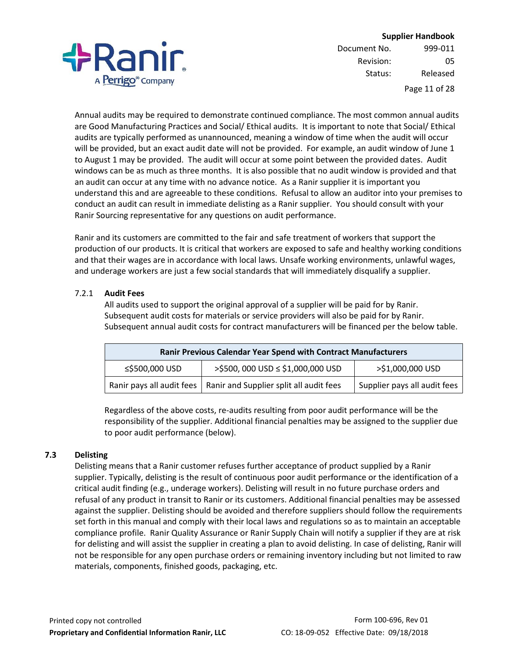

Annual audits may be required to demonstrate continued compliance. The most common annual audits are Good Manufacturing Practices and Social/ Ethical audits. It is important to note that Social/ Ethical audits are typically performed as unannounced, meaning a window of time when the audit will occur will be provided, but an exact audit date will not be provided. For example, an audit window of June 1 to August 1 may be provided. The audit will occur at some point between the provided dates. Audit windows can be as much as three months. It is also possible that no audit window is provided and that an audit can occur at any time with no advance notice. As a Ranir supplier it is important you understand this and are agreeable to these conditions. Refusal to allow an auditor into your premises to conduct an audit can result in immediate delisting as a Ranir supplier. You should consult with your Ranir Sourcing representative for any questions on audit performance.

Ranir and its customers are committed to the fair and safe treatment of workers that support the production of our products. It is critical that workers are exposed to safe and healthy working conditions and that their wages are in accordance with local laws. Unsafe working environments, unlawful wages, and underage workers are just a few social standards that will immediately disqualify a supplier.

#### 7.2.1 **Audit Fees**

All audits used to support the original approval of a supplier will be paid for by Ranir. Subsequent audit costs for materials or service providers will also be paid for by Ranir. Subsequent annual audit costs for contract manufacturers will be financed per the below table.

| <b>Ranir Previous Calendar Year Spend with Contract Manufacturers</b> |                                                                     |                              |  |  |  |
|-----------------------------------------------------------------------|---------------------------------------------------------------------|------------------------------|--|--|--|
| ≤\$500,000 USD                                                        | >\$500,000 USD ≤ \$1,000,000 USD                                    | >\$1,000,000 USD             |  |  |  |
|                                                                       | Ranir pays all audit fees   Ranir and Supplier split all audit fees | Supplier pays all audit fees |  |  |  |

Regardless of the above costs, re-audits resulting from poor audit performance will be the responsibility of the supplier. Additional financial penalties may be assigned to the supplier due to poor audit performance (below).

#### <span id="page-10-0"></span>**7.3 Delisting**

Delisting means that a Ranir customer refuses further acceptance of product supplied by a Ranir supplier. Typically, delisting is the result of continuous poor audit performance or the identification of a critical audit finding (e.g., underage workers). Delisting will result in no future purchase orders and refusal of any product in transit to Ranir or its customers. Additional financial penalties may be assessed against the supplier. Delisting should be avoided and therefore suppliers should follow the requirements set forth in this manual and comply with their local laws and regulations so as to maintain an acceptable compliance profile. Ranir Quality Assurance or Ranir Supply Chain will notify a supplier if they are at risk for delisting and will assist the supplier in creating a plan to avoid delisting. In case of delisting, Ranir will not be responsible for any open purchase orders or remaining inventory including but not limited to raw materials, components, finished goods, packaging, etc.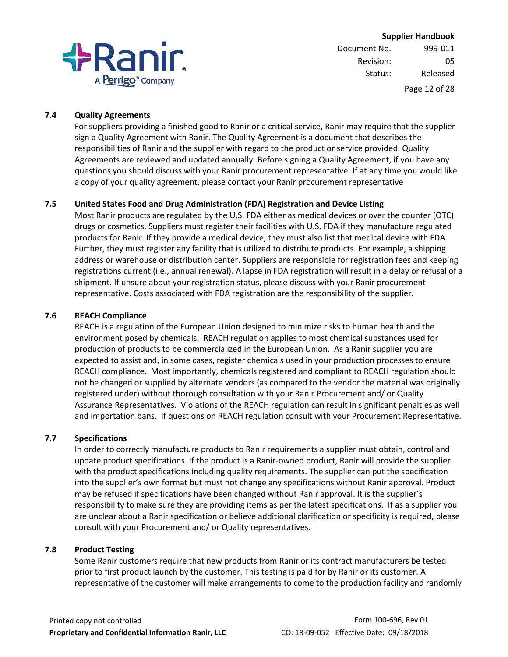

Page 12 of 28

#### <span id="page-11-0"></span>**7.4 Quality Agreements**

For suppliers providing a finished good to Ranir or a critical service, Ranir may require that the supplier sign a Quality Agreement with Ranir. The Quality Agreement is a document that describes the responsibilities of Ranir and the supplier with regard to the product or service provided. Quality Agreements are reviewed and updated annually. Before signing a Quality Agreement, if you have any questions you should discuss with your Ranir procurement representative. If at any time you would like a copy of your quality agreement, please contact your Ranir procurement representative

## <span id="page-11-1"></span>**7.5 United States Food and Drug Administration (FDA) Registration and Device Listing**

Most Ranir products are regulated by the U.S. FDA either as medical devices or over the counter (OTC) drugs or cosmetics. Suppliers must register their facilities with U.S. FDA if they manufacture regulated products for Ranir. If they provide a medical device, they must also list that medical device with FDA. Further, they must register any facility that is utilized to distribute products. For example, a shipping address or warehouse or distribution center. Suppliers are responsible for registration fees and keeping registrations current (i.e., annual renewal). A lapse in FDA registration will result in a delay or refusal of a shipment. If unsure about your registration status, please discuss with your Ranir procurement representative. Costs associated with FDA registration are the responsibility of the supplier.

#### **7.6 REACH Compliance**

REACH is a regulation of the European Union designed to minimize risks to human health and the environment posed by chemicals. REACH regulation applies to most chemical substances used for production of products to be commercialized in the European Union. As a Ranir supplier you are expected to assist and, in some cases, register chemicals used in your production processes to ensure REACH compliance. Most importantly, chemicals registered and compliant to REACH regulation should not be changed or supplied by alternate vendors (as compared to the vendor the material was originally registered under) without thorough consultation with your Ranir Procurement and/ or Quality Assurance Representatives. Violations of the REACH regulation can result in significant penalties as well and importation bans. If questions on REACH regulation consult with your Procurement Representative.

#### <span id="page-11-2"></span>**7.7 Specifications**

In order to correctly manufacture products to Ranir requirements a supplier must obtain, control and update product specifications. If the product is a Ranir-owned product, Ranir will provide the supplier with the product specifications including quality requirements. The supplier can put the specification into the supplier's own format but must not change any specifications without Ranir approval. Product may be refused if specifications have been changed without Ranir approval. It is the supplier's responsibility to make sure they are providing items as per the latest specifications. If as a supplier you are unclear about a Ranir specification or believe additional clarification or specificity is required, please consult with your Procurement and/ or Quality representatives.

#### <span id="page-11-3"></span>**7.8 Product Testing**

Some Ranir customers require that new products from Ranir or its contract manufacturers be tested prior to first product launch by the customer. This testing is paid for by Ranir or its customer. A representative of the customer will make arrangements to come to the production facility and randomly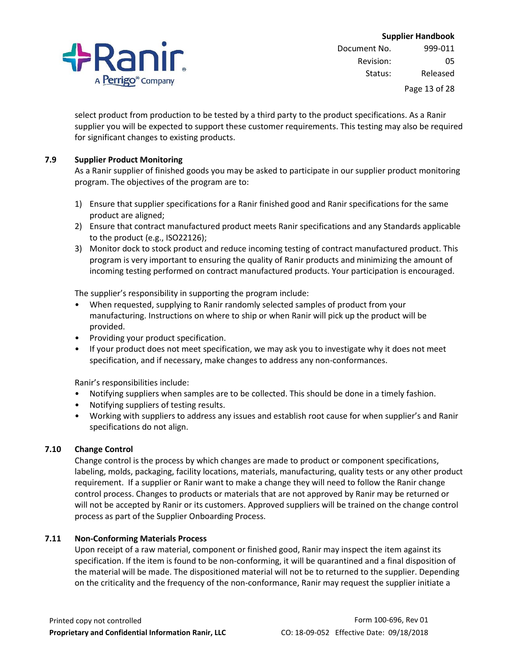

select product from production to be tested by a third party to the product specifications. As a Ranir supplier you will be expected to support these customer requirements. This testing may also be required for significant changes to existing products.

#### <span id="page-12-0"></span>**7.9 Supplier Product Monitoring**

As a Ranir supplier of finished goods you may be asked to participate in our supplier product monitoring program. The objectives of the program are to:

- 1) Ensure that supplier specifications for a Ranir finished good and Ranir specifications for the same product are aligned;
- 2) Ensure that contract manufactured product meets Ranir specifications and any Standards applicable to the product (e.g., ISO22126);
- 3) Monitor dock to stock product and reduce incoming testing of contract manufactured product. This program is very important to ensuring the quality of Ranir products and minimizing the amount of incoming testing performed on contract manufactured products. Your participation is encouraged.

The supplier's responsibility in supporting the program include:

- When requested, supplying to Ranir randomly selected samples of product from your manufacturing. Instructions on where to ship or when Ranir will pick up the product will be provided.
- Providing your product specification.
- If your product does not meet specification, we may ask you to investigate why it does not meet specification, and if necessary, make changes to address any non-conformances.

Ranir's responsibilities include:

- Notifying suppliers when samples are to be collected. This should be done in a timely fashion.
- Notifying suppliers of testing results.
- Working with suppliers to address any issues and establish root cause for when supplier's and Ranir specifications do not align.

## <span id="page-12-1"></span>**7.10 Change Control**

Change control is the process by which changes are made to product or component specifications, labeling, molds, packaging, facility locations, materials, manufacturing, quality tests or any other product requirement. If a supplier or Ranir want to make a change they will need to follow the Ranir change control process. Changes to products or materials that are not approved by Ranir may be returned or will not be accepted by Ranir or its customers. Approved suppliers will be trained on the change control process as part of the Supplier Onboarding Process.

## <span id="page-12-2"></span>**7.11 Non-Conforming Materials Process**

Upon receipt of a raw material, component or finished good, Ranir may inspect the item against its specification. If the item is found to be non-conforming, it will be quarantined and a final disposition of the material will be made. The dispositioned material will not be to returned to the supplier. Depending on the criticality and the frequency of the non-conformance, Ranir may request the supplier initiate a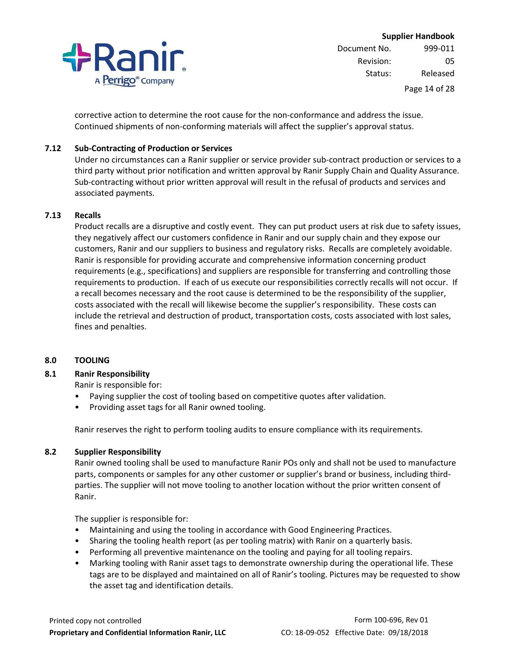

corrective action to determine the root cause for the non-conformance and address the issue. Continued shipments of non-conforming materials will affect the supplier's approval status.

## <span id="page-13-0"></span>**7.12 Sub-Contracting of Production or Services**

Under no circumstances can a Ranir supplier or service provider sub-contract production or services to a third party without prior notification and written approval by Ranir Supply Chain and Quality Assurance. Sub-contracting without prior written approval will result in the refusal of products and services and associated payments.

#### **7.13 Recalls**

Product recalls are a disruptive and costly event. They can put product users at risk due to safety issues, they negatively affect our customers confidence in Ranir and our supply chain and they expose our customers, Ranir and our suppliers to business and regulatory risks. Recalls are completely avoidable. Ranir is responsible for providing accurate and comprehensive information concerning product requirements (e.g., specifications) and suppliers are responsible for transferring and controlling those requirements to production. If each of us execute our responsibilities correctly recalls will not occur. If a recall becomes necessary and the root cause is determined to be the responsibility of the supplier, costs associated with the recall will likewise become the supplier's responsibility. These costs can include the retrieval and destruction of product, transportation costs, costs associated with lost sales, fines and penalties.

#### <span id="page-13-1"></span>**8.0 TOOLING**

#### <span id="page-13-2"></span>**8.1 Ranir Responsibility**

Ranir is responsible for:

- Paying supplier the cost of tooling based on competitive quotes after validation.
- Providing asset tags for all Ranir owned tooling.

Ranir reserves the right to perform tooling audits to ensure compliance with its requirements.

## <span id="page-13-3"></span>**8.2 Supplier Responsibility**

Ranir owned tooling shall be used to manufacture Ranir POs only and shall not be used to manufacture parts, components or samples for any other customer or supplier's brand or business, including thirdparties. The supplier will not move tooling to another location without the prior written consent of Ranir.

The supplier is responsible for:

- Maintaining and using the tooling in accordance with Good Engineering Practices.
- Sharing the tooling health report (as per tooling matrix) with Ranir on a quarterly basis.
- Performing all preventive maintenance on the tooling and paying for all tooling repairs.
- Marking tooling with Ranir asset tags to demonstrate ownership during the operational life. These tags are to be displayed and maintained on all of Ranir's tooling. Pictures may be requested to show the asset tag and identification details.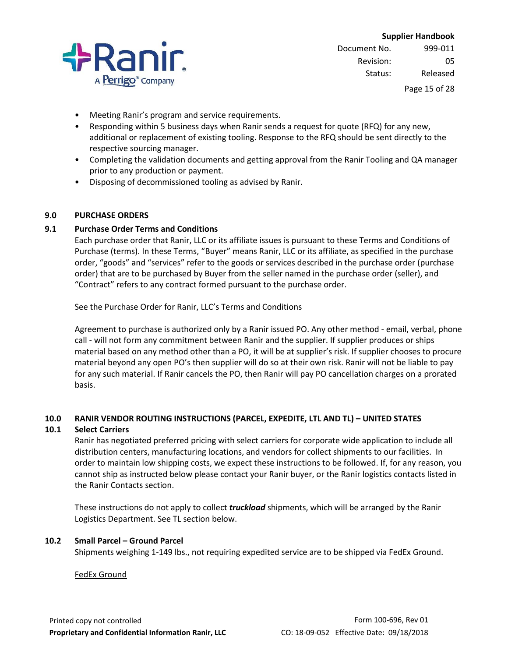

Page 15 of 28

- Meeting Ranir's program and service requirements.
- Responding within 5 business days when Ranir sends a request for quote (RFQ) for any new, additional or replacement of existing tooling. Response to the RFQ should be sent directly to the respective sourcing manager.
- Completing the validation documents and getting approval from the Ranir Tooling and QA manager prior to any production or payment.
- Disposing of decommissioned tooling as advised by Ranir.

#### <span id="page-14-0"></span>**9.0 PURCHASE ORDERS**

## <span id="page-14-1"></span>**9.1 Purchase Order Terms and Conditions**

Each purchase order that Ranir, LLC or its affiliate issues is pursuant to these Terms and Conditions of Purchase (terms). In these Terms, "Buyer" means Ranir, LLC or its affiliate, as specified in the purchase order, "goods" and "services" refer to the goods or services described in the purchase order (purchase order) that are to be purchased by Buyer from the seller named in the purchase order (seller), and "Contract" refers to any contract formed pursuant to the purchase order.

See the Purchase Order for Ranir, LLC's Terms and Conditions

Agreement to purchase is authorized only by a Ranir issued PO. Any other method - email, verbal, phone call - will not form any commitment between Ranir and the supplier. If supplier produces or ships material based on any method other than a PO, it will be at supplier's risk. If supplier chooses to procure material beyond any open PO's then supplier will do so at their own risk. Ranir will not be liable to pay for any such material. If Ranir cancels the PO, then Ranir will pay PO cancellation charges on a prorated basis.

## <span id="page-14-2"></span>**10.0 RANIR VENDOR ROUTING INSTRUCTIONS (PARCEL, EXPEDITE, LTL AND TL) – UNITED STATES**

## <span id="page-14-3"></span>**10.1 Select Carriers**

Ranir has negotiated preferred pricing with select carriers for corporate wide application to include all distribution centers, manufacturing locations, and vendors for collect shipments to our facilities. In order to maintain low shipping costs, we expect these instructions to be followed. If, for any reason, you cannot ship as instructed below please contact your Ranir buyer, or the Ranir logistics contacts listed in the Ranir Contacts section.

These instructions do not apply to collect *truckload* shipments, which will be arranged by the Ranir Logistics Department. See TL section below.

#### <span id="page-14-4"></span>**10.2 Small Parcel – Ground Parcel**

Shipments weighing 1-149 lbs., not requiring expedited service are to be shipped via FedEx Ground.

FedEx Ground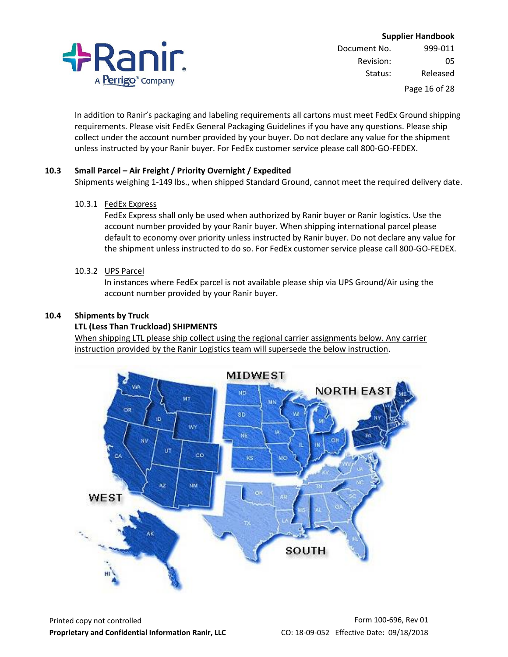

Page 16 of 28

In addition to Ranir's packaging and labeling requirements all cartons must meet FedEx Ground shipping requirements. Please visit FedEx General Packaging Guidelines if you have any questions. Please ship collect under the account number provided by your buyer. Do not declare any value for the shipment unless instructed by your Ranir buyer. For FedEx customer service please call 800-GO-FEDEX.

## <span id="page-15-0"></span>**10.3 Small Parcel – Air Freight / Priority Overnight / Expedited**

Shipments weighing 1-149 lbs., when shipped Standard Ground, cannot meet the required delivery date.

#### 10.3.1 FedEx Express

FedEx Express shall only be used when authorized by Ranir buyer or Ranir logistics. Use the account number provided by your Ranir buyer. When shipping international parcel please default to economy over priority unless instructed by Ranir buyer. Do not declare any value for the shipment unless instructed to do so. For FedEx customer service please call 800-GO-FEDEX.

## 10.3.2 UPS Parcel

In instances where FedEx parcel is not available please ship via UPS Ground/Air using the account number provided by your Ranir buyer.

## <span id="page-15-1"></span>**10.4 Shipments by Truck**

## **LTL (Less Than Truckload) SHIPMENTS**

When shipping LTL please ship collect using the regional carrier assignments below. Any carrier instruction provided by the Ranir Logistics team will supersede the below instruction.

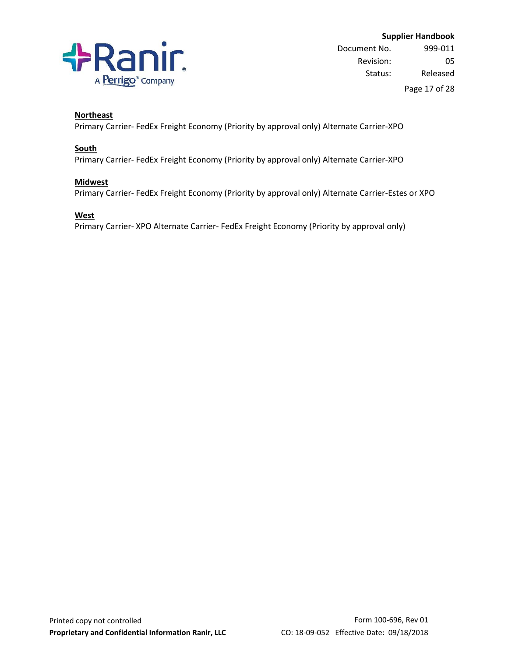

Page 17 of 28

## **Northeast**

Primary Carrier- FedEx Freight Economy (Priority by approval only) Alternate Carrier-XPO

#### **South**

Primary Carrier- FedEx Freight Economy (Priority by approval only) Alternate Carrier-XPO

#### **Midwest**

Primary Carrier- FedEx Freight Economy (Priority by approval only) Alternate Carrier-Estes or XPO

#### **West**

Primary Carrier- XPO Alternate Carrier- FedEx Freight Economy (Priority by approval only)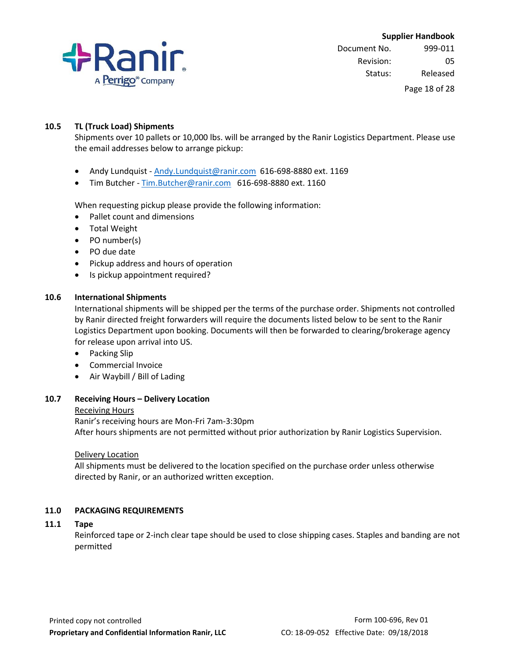

Page 18 of 28

#### <span id="page-17-0"></span>**10.5 TL (Truck Load) Shipments**

Shipments over 10 pallets or 10,000 lbs. will be arranged by the Ranir Logistics Department. Please use the email addresses below to arrange pickup:

- Andy Lundquist [Andy.Lundquist@ranir.com](mailto:Andy.Lundquist@ranir.com) 616-698-8880 ext. 1169
- Tim Butcher [Tim.Butcher@ranir.com](mailto:Tim.Butcher@ranir.com) 616-698-8880 ext. 1160

When requesting pickup please provide the following information:

- Pallet count and dimensions
- Total Weight
- PO number(s)
- PO due date
- Pickup address and hours of operation
- Is pickup appointment required?

#### <span id="page-17-1"></span>**10.6 International Shipments**

International shipments will be shipped per the terms of the purchase order. Shipments not controlled by Ranir directed freight forwarders will require the documents listed below to be sent to the Ranir Logistics Department upon booking. Documents will then be forwarded to clearing/brokerage agency for release upon arrival into US.

- Packing Slip
- Commercial Invoice
- Air Waybill / Bill of Lading

#### <span id="page-17-2"></span>**10.7 Receiving Hours – Delivery Location**

#### Receiving Hours

Ranir's receiving hours are Mon-Fri 7am-3:30pm After hours shipments are not permitted without prior authorization by Ranir Logistics Supervision.

#### Delivery Location

All shipments must be delivered to the location specified on the purchase order unless otherwise directed by Ranir, or an authorized written exception.

#### <span id="page-17-3"></span>**11.0 PACKAGING REQUIREMENTS**

#### <span id="page-17-4"></span>**11.1 Tape**

Reinforced tape or 2-inch clear tape should be used to close shipping cases. Staples and banding are not permitted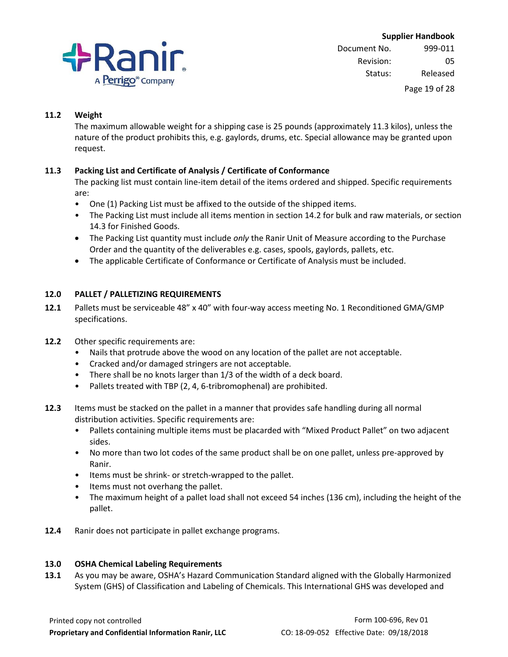

Document No. 999-011 Revision: 05

Status: Released

Page 19 of 28

## <span id="page-18-0"></span>**11.2 Weight**

The maximum allowable weight for a shipping case is 25 pounds (approximately 11.3 kilos), unless the nature of the product prohibits this, e.g. gaylords, drums, etc. Special allowance may be granted upon request.

## <span id="page-18-1"></span>**11.3 Packing List and Certificate of Analysis / Certificate of Conformance**

The packing list must contain line-item detail of the items ordered and shipped. Specific requirements are:

- One (1) Packing List must be affixed to the outside of the shipped items.
- The Packing List must include all items mention in section 14.2 for bulk and raw materials, or section 14.3 for Finished Goods.
- The Packing List quantity must include *only* the Ranir Unit of Measure according to the Purchase Order and the quantity of the deliverables e.g. cases, spools, gaylords, pallets, etc.
- The applicable Certificate of Conformance or Certificate of Analysis must be included.

## <span id="page-18-2"></span>**12.0 PALLET / PALLETIZING REQUIREMENTS**

- **12.1** Pallets must be serviceable 48" x 40" with four-way access meeting No. 1 Reconditioned GMA/GMP specifications.
- **12.2** Other specific requirements are:
	- Nails that protrude above the wood on any location of the pallet are not acceptable.
	- Cracked and/or damaged stringers are not acceptable.
	- There shall be no knots larger than 1/3 of the width of a deck board.
	- Pallets treated with TBP (2, 4, 6-tribromophenal) are prohibited.
- **12.3** Items must be stacked on the pallet in a manner that provides safe handling during all normal distribution activities. Specific requirements are:
	- Pallets containing multiple items must be placarded with "Mixed Product Pallet" on two adjacent sides.
	- No more than two lot codes of the same product shall be on one pallet, unless pre-approved by Ranir.
	- Items must be shrink- or stretch-wrapped to the pallet.
	- Items must not overhang the pallet.
	- The maximum height of a pallet load shall not exceed 54 inches (136 cm), including the height of the pallet.
- **12.4** Ranir does not participate in pallet exchange programs.

#### **13.0 OSHA Chemical Labeling Requirements**

**13.1** As you may be aware, OSHA's Hazard Communication Standard aligned with the Globally Harmonized System (GHS) of Classification and Labeling of Chemicals. This International GHS was developed and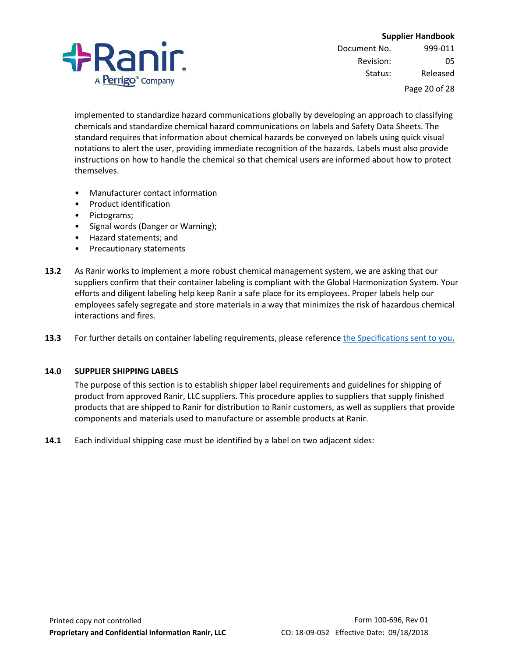

Document No. 999-011 Revision: 05 Status: Released

Page 20 of 28

implemented to standardize hazard communications globally by developing an approach to classifying chemicals and standardize chemical hazard communications on labels and Safety Data Sheets. The standard requires that information about chemical hazards be conveyed on labels using quick visual notations to alert the user, providing immediate recognition of the hazards. Labels must also provide instructions on how to handle the chemical so that chemical users are informed about how to protect themselves.

- Manufacturer contact information
- Product identification
- Pictograms;
- Signal words (Danger or Warning);
- Hazard statements; and
- Precautionary statements
- **13.2** As Ranir works to implement a more robust chemical management system, we are asking that our suppliers confirm that their container labeling is compliant with the Global Harmonization System. Your efforts and diligent labeling help keep Ranir a safe place for its employees. Proper labels help our employees safely segregate and store materials in a way that minimizes the risk of hazardous chemical interactions and fires.
- **13.3** For further details on container labeling requirements, please referenc[e the](#page-27-1) Specifications sent to you**.**

#### <span id="page-19-0"></span>**14.0 SUPPLIER SHIPPING LABELS**

The purpose of this section is to establish shipper label requirements and guidelines for shipping of product from approved Ranir, LLC suppliers. This procedure applies to suppliers that supply finished products that are shipped to Ranir for distribution to Ranir customers, as well as suppliers that provide components and materials used to manufacture or assemble products at Ranir.

**14.1** Each individual shipping case must be identified by a label on two adjacent sides: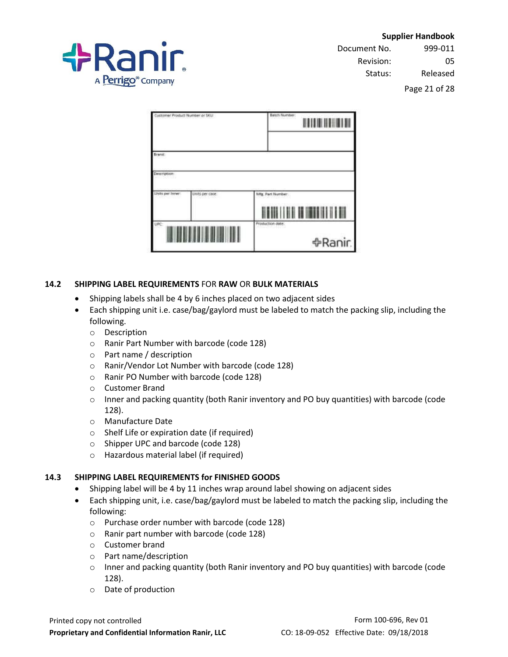

Document No. 999-011 Revision: 05 Status: Released

Page 21 of 28

| Customer Product Number or SKU! |                 | Batch fourmer:<br><b>THEFT</b>                  |
|---------------------------------|-----------------|-------------------------------------------------|
| Brand:                          |                 |                                                 |
| Description                     |                 |                                                 |
| Units per Inner:                | Linits per case | Mig. Part Number:<br>HIII III III IIII III      |
| <b>UPC</b>                      |                 | Production date:<br><b><i><u></u></i></b> Ranir |

## <span id="page-20-0"></span>**14.2 SHIPPING LABEL REQUIREMENTS** FOR **RAW** OR **BULK MATERIALS**

- Shipping labels shall be 4 by 6 inches placed on two adjacent sides
- Each shipping unit i.e. case/bag/gaylord must be labeled to match the packing slip, including the following.
	- o Description
	- o Ranir Part Number with barcode (code 128)
	- o Part name / description
	- o Ranir/Vendor Lot Number with barcode (code 128)
	- o Ranir PO Number with barcode (code 128)
	- o Customer Brand
	- $\circ$  Inner and packing quantity (both Ranir inventory and PO buy quantities) with barcode (code 128).
	- o Manufacture Date
	- o Shelf Life or expiration date (if required)
	- o Shipper UPC and barcode (code 128)
	- o Hazardous material label (if required)

#### **14.3 SHIPPING LABEL REQUIREMENTS for FINISHED GOODS**

- Shipping label will be 4 by 11 inches wrap around label showing on adjacent sides
- Each shipping unit, i.e. case/bag/gaylord must be labeled to match the packing slip, including the following:
	- o Purchase order number with barcode (code 128)
	- o Ranir part number with barcode (code 128)
	- o Customer brand
	- o Part name/description
	- o Inner and packing quantity (both Ranir inventory and PO buy quantities) with barcode (code 128).
	- o Date of production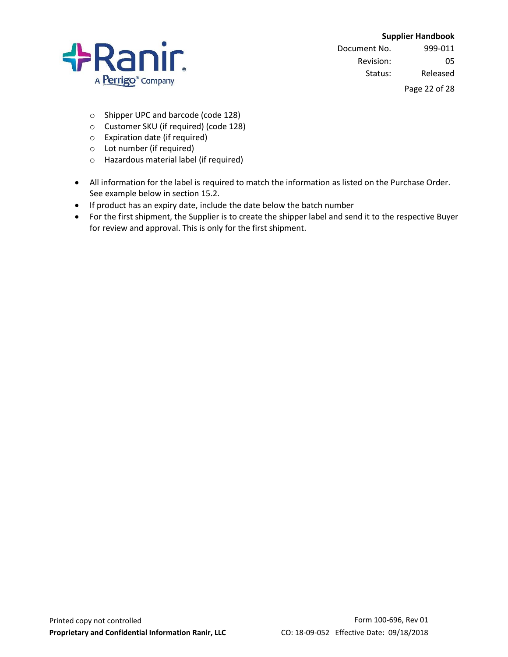

Document No. 999-011 Revision: 05 Status: Released

Page 22 of 28

- o Shipper UPC and barcode (code 128)
- o Customer SKU (if required) (code 128)
- o Expiration date (if required)
- o Lot number (if required)
- o Hazardous material label (if required)
- All information for the label is required to match the information as listed on the Purchase Order. See example below in section 15.2.
- If product has an expiry date, include the date below the batch number
- For the first shipment, the Supplier is to create the shipper label and send it to the respective Buyer for review and approval. This is only for the first shipment.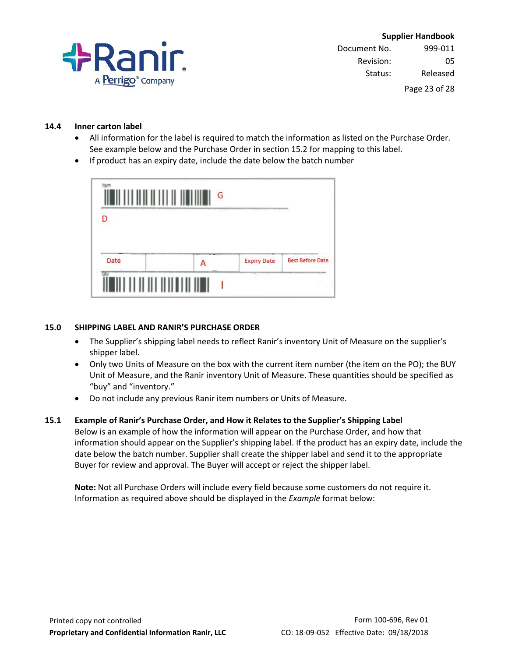

#### **14.4 Inner carton label**

- All information for the label is required to match the information as listed on the Purchase Order. See example below and the Purchase Order in section 15.2 for mapping to this label.
- If product has an expiry date, include the date below the batch number

| D |  |  |
|---|--|--|
|   |  |  |
|   |  |  |

#### <span id="page-22-0"></span>**15.0 SHIPPING LABEL AND RANIR'S PURCHASE ORDER**

- The Supplier's shipping label needs to reflect Ranir's inventory Unit of Measure on the supplier's shipper label.
- Only two Units of Measure on the box with the current item number (the item on the PO); the BUY Unit of Measure, and the Ranir inventory Unit of Measure. These quantities should be specified as "buy" and "inventory."
- Do not include any previous Ranir item numbers or Units of Measure.

## <span id="page-22-1"></span>**15.1 Example of Ranir's Purchase Order, and How it Relates to the Supplier's Shipping Label**

Below is an example of how the information will appear on the Purchase Order, and how that information should appear on the Supplier's shipping label. If the product has an expiry date, include the date below the batch number. Supplier shall create the shipper label and send it to the appropriate Buyer for review and approval. The Buyer will accept or reject the shipper label.

**Note:** Not all Purchase Orders will include every field because some customers do not require it. Information as required above should be displayed in the *Example* format below: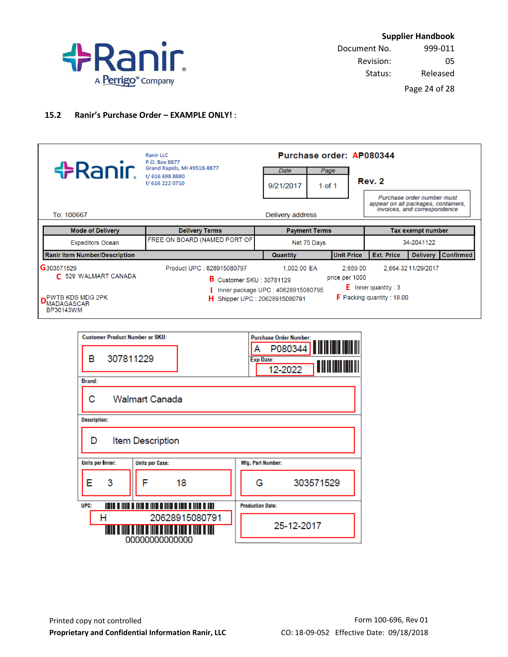

**Supplier Handbook** Document No. 999-011

Revision: 05

Status: Released

Page 24 of 28

#### <span id="page-23-0"></span>**15.2 Ranir's Purchase Order – EXAMPLE ONLY!** :



| <b>Customer Product Number or SKU:</b>              | <b>Purchase Order Number:</b>                             |  |  |  |  |  |
|-----------------------------------------------------|-----------------------------------------------------------|--|--|--|--|--|
| 307811229<br>B                                      | P080344<br>А<br>Exp Date:<br><b>TILITIERIN</b><br>12-2022 |  |  |  |  |  |
| <b>Brand:</b>                                       |                                                           |  |  |  |  |  |
| С<br>Walmart Canada                                 |                                                           |  |  |  |  |  |
| <b>Description:</b>                                 |                                                           |  |  |  |  |  |
| D<br>Item Description                               |                                                           |  |  |  |  |  |
| Units per Inner:<br>Units per Case:                 | Mfg. Part Number:                                         |  |  |  |  |  |
| 3<br>Е<br>F<br>18                                   | 303571529<br>G                                            |  |  |  |  |  |
| UPC:<br><b>Production Date:</b><br>.<br>.<br>11 I I |                                                           |  |  |  |  |  |
| 20628915080791<br>н<br>00000000000000               | 25-12-2017                                                |  |  |  |  |  |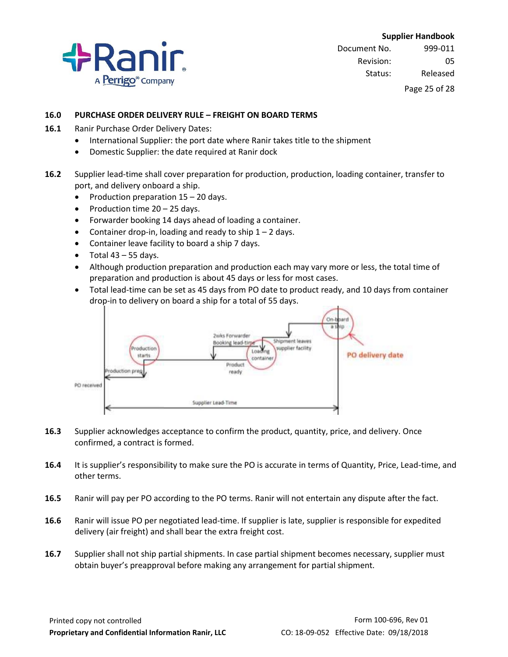

Page 25 of 28

#### <span id="page-24-0"></span>**16.0 PURCHASE ORDER DELIVERY RULE – FREIGHT ON BOARD TERMS**

- **16.1** Ranir Purchase Order Delivery Dates:
	- International Supplier: the port date where Ranir takes title to the shipment
	- Domestic Supplier: the date required at Ranir dock
- **16.2** Supplier lead-time shall cover preparation for production, production, loading container, transfer to port, and delivery onboard a ship.
	- Production preparation 15 20 days.
	- Production time 20 25 days.
	- Forwarder booking 14 days ahead of loading a container.
	- Container drop-in, loading and ready to ship  $1 2$  days.
	- Container leave facility to board a ship 7 days.
	- $\bullet$  Total 43 55 days.
	- Although production preparation and production each may vary more or less, the total time of preparation and production is about 45 days or less for most cases.
	- Total lead-time can be set as 45 days from PO date to product ready, and 10 days from container drop-in to delivery on board a ship for a total of 55 days.



- **16.3** Supplier acknowledges acceptance to confirm the product, quantity, price, and delivery. Once confirmed, a contract is formed.
- **16.4** It is supplier's responsibility to make sure the PO is accurate in terms of Quantity, Price, Lead-time, and other terms.
- **16.5** Ranir will pay per PO according to the PO terms. Ranir will not entertain any dispute after the fact.
- **16.6** Ranir will issue PO per negotiated lead-time. If supplier is late, supplier is responsible for expedited delivery (air freight) and shall bear the extra freight cost.
- **16.7** Supplier shall not ship partial shipments. In case partial shipment becomes necessary, supplier must obtain buyer's preapproval before making any arrangement for partial shipment.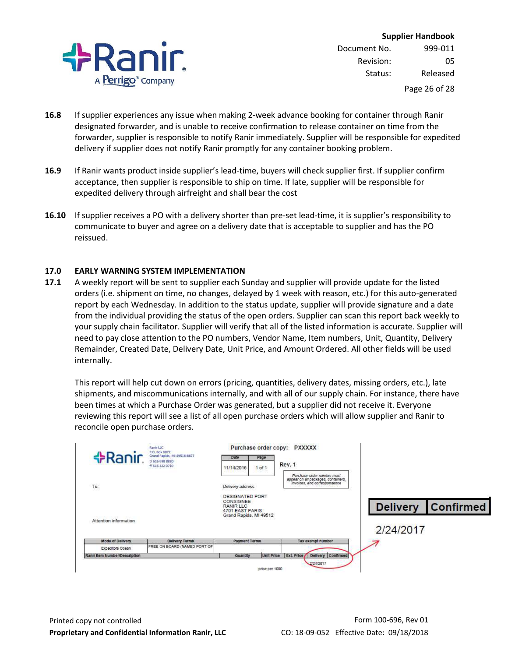

- **16.8** If supplier experiences any issue when making 2-week advance booking for container through Ranir designated forwarder, and is unable to receive confirmation to release container on time from the forwarder, supplier is responsible to notify Ranir immediately. Supplier will be responsible for expedited delivery if supplier does not notify Ranir promptly for any container booking problem.
- **16.9** If Ranir wants product inside supplier's lead-time, buyers will check supplier first. If supplier confirm acceptance, then supplier is responsible to ship on time. If late, supplier will be responsible for expedited delivery through airfreight and shall bear the cost
- **16.10** If supplier receives a PO with a delivery shorter than pre-set lead-time, it is supplier's responsibility to communicate to buyer and agree on a delivery date that is acceptable to supplier and has the PO reissued.

#### <span id="page-25-0"></span>**17.0 EARLY WARNING SYSTEM IMPLEMENTATION**

**17.1** A weekly report will be sent to supplier each Sunday and supplier will provide update for the listed orders (i.e. shipment on time, no changes, delayed by 1 week with reason, etc.) for this auto-generated report by each Wednesday. In addition to the status update, supplier will provide signature and a date from the individual providing the status of the open orders. Supplier can scan this report back weekly to your supply chain facilitator. Supplier will verify that all of the listed information is accurate. Supplier will need to pay close attention to the PO numbers, Vendor Name, Item numbers, Unit, Quantity, Delivery Remainder, Created Date, Delivery Date, Unit Price, and Amount Ordered. All other fields will be used internally.

This report will help cut down on errors (pricing, quantities, delivery dates, missing orders, etc.), late shipments, and miscommunications internally, and with all of our supply chain. For instance, there have been times at which a Purchase Order was generated, but a supplier did not receive it. Everyone reviewing this report will see a list of all open purchase orders which will allow supplier and Ranir to reconcile open purchase orders.

|                               | <b>Bank LLC</b><br>P.O. Box 8877                                  | Purchase order copy: PXXXXX                                                                          |                                                                   |                 |                  |
|-------------------------------|-------------------------------------------------------------------|------------------------------------------------------------------------------------------------------|-------------------------------------------------------------------|-----------------|------------------|
| <b>+</b> Ranir                | Grand Rapids, ML 49518-8877<br>t/ 615 698 8880<br>f/ 616 222 0710 | Date<br>Page<br>of 1<br>11/14/2016                                                                   | Rev. 1                                                            |                 |                  |
| To:<br>23                     |                                                                   | Delivery address                                                                                     | Purchase order number must<br>appear on all packages, containers, |                 |                  |
|                               |                                                                   | <b>DESIGNATED PORT</b><br>CONSIGNEE<br><b>RANIR LLC</b><br>4701 EAST PARIS<br>Grand Rapids, MI 49512 |                                                                   | <b>Delivery</b> | <b>Confirmed</b> |
| Attention information         |                                                                   |                                                                                                      |                                                                   | 2/24/2017       |                  |
| Mode of Delivery              | Delivery Terms                                                    | <b>Payment Terms</b>                                                                                 | Tax exempt number                                                 |                 |                  |
| Expeditors Ocean              | FREE ON BOARD (NAMED PORT OF                                      |                                                                                                      |                                                                   |                 |                  |
| Ranir Item Number/Description |                                                                   | Quantity<br>Unit Price                                                                               | Ext. Price<br>Delivery Confirmed<br>2/24/2017                     |                 |                  |
|                               |                                                                   | price per 1000                                                                                       |                                                                   |                 |                  |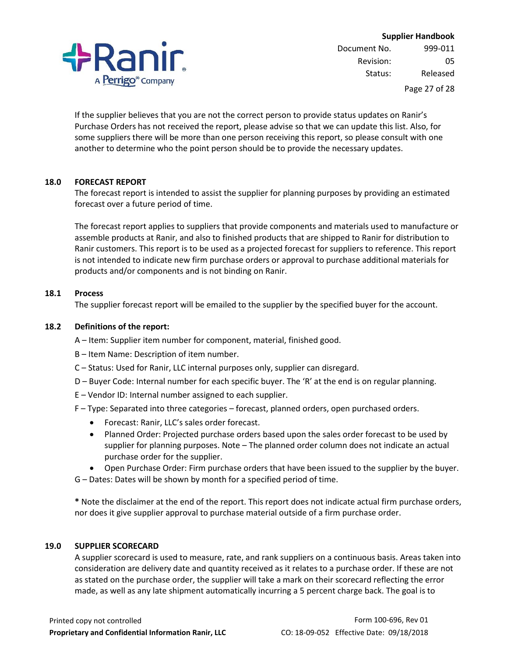

Page 27 of 28

If the supplier believes that you are not the correct person to provide status updates on Ranir's Purchase Orders has not received the report, please advise so that we can update this list. Also, for some suppliers there will be more than one person receiving this report, so please consult with one another to determine who the point person should be to provide the necessary updates.

#### <span id="page-26-0"></span>**18.0 FORECAST REPORT**

The forecast report is intended to assist the supplier for planning purposes by providing an estimated forecast over a future period of time.

The forecast report applies to suppliers that provide components and materials used to manufacture or assemble products at Ranir, and also to finished products that are shipped to Ranir for distribution to Ranir customers. This report is to be used as a projected forecast for suppliers to reference. This report is not intended to indicate new firm purchase orders or approval to purchase additional materials for products and/or components and is not binding on Ranir.

#### <span id="page-26-1"></span>**18.1 Process**

The supplier forecast report will be emailed to the supplier by the specified buyer for the account.

## **18.2 Definitions of the report:**

- A Item: Supplier item number for component, material, finished good.
- B Item Name: Description of item number.
- C Status: Used for Ranir, LLC internal purposes only, supplier can disregard.
- D Buyer Code: Internal number for each specific buyer. The 'R' at the end is on regular planning.
- E Vendor ID: Internal number assigned to each supplier.
- F Type: Separated into three categories forecast, planned orders, open purchased orders.
	- Forecast: Ranir, LLC's sales order forecast.
	- Planned Order: Projected purchase orders based upon the sales order forecast to be used by supplier for planning purposes. Note – The planned order column does not indicate an actual purchase order for the supplier.
	- Open Purchase Order: Firm purchase orders that have been issued to the supplier by the buyer.
- G Dates: Dates will be shown by month for a specified period of time.

**\*** Note the disclaimer at the end of the report. This report does not indicate actual firm purchase orders, nor does it give supplier approval to purchase material outside of a firm purchase order.

#### <span id="page-26-2"></span>**19.0 SUPPLIER SCORECARD**

A supplier scorecard is used to measure, rate, and rank suppliers on a continuous basis. Areas taken into consideration are delivery date and quantity received as it relates to a purchase order. If these are not as stated on the purchase order, the supplier will take a mark on their scorecard reflecting the error made, as well as any late shipment automatically incurring a 5 percent charge back. The goal is to